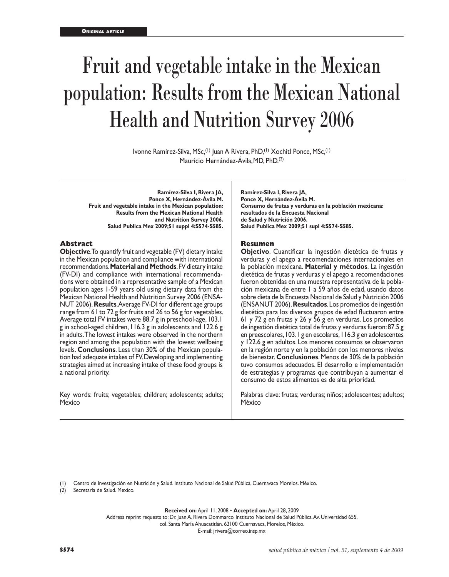# Fruit and vegetable intake in the Mexican population: Results from the Mexican National Health and Nutrition Survey 2006

Ivonne Ramírez-Silva, MSc,(1) Juan A Rivera, PhD,(1) Xochitl Ponce, MSc,(1) Mauricio Hernández-Ávila,MD, PhD.(2)

**Ramírez-Silva I, Rivera JA, Ponce X, Hernández-Ávila M. Fruit and vegetable intake in the Mexican population: Results from the Mexican National Health and Nutrition Survey 2006. Salud Publica Mex 2009;51 suppl 4:S574-S585.**

#### **Abstract**

**Objective**. To quantify fruit and vegetable (FV) dietary intake in the Mexican population and compliance with international recommendations. **Material and Methods**. FV dietary intake (FV-DI) and compliance with international recommendations were obtained in a representative sample of a Mexican population ages 1-59 years old using dietary data from the Mexican National Health and Nutrition Survey 2006 (ENSA-NUT 2006). **Results**. Average FV-DI for different age groups range from 61 to 72 g for fruits and 26 to 56 g for vegetables. Average total FV intakes were 88.7 g in preschool-age, 103.1 g in school-aged children, 116.3 g in adolescents and 122.6 g in adults. The lowest intakes were observed in the northern region and among the population with the lowest wellbeing levels. **Conclusions**. Less than 30% of the Mexican popula tion had adequate intakes of FV. Developing and implementing strategies aimed at increasing intake of these food groups is a national priority.

Key words: fruits; vegetables; children; adolescents; adults; Mexico

**Ramírez-Silva I, Rivera JA, Ponce X, Hernández-Ávila M. Consumo de frutas y verduras en la población mexicana: resultados de la Encuesta Nacional de Salud y Nutrición 2006. Salud Publica Mex 2009;51 supl 4:S574-S585.**

#### **Resumen**

**Objetivo**. Cuantificar la ingestión dietética de frutas y verduras y el apego a recomendaciones internacionales en la población mexicana. **Material y métodos**. La ingestión dietética de frutas y verduras y el apego a recomendaciones fueron obtenidas en una muestra representativa de la población mexicana de entre 1 a 59 años de edad, usando datos sobre dieta de la Encuesta Nacional de Salud y Nutrición 2006 (ENSANUT 2006). **Resultados**. Los promedios de ingestión dietética para los diversos grupos de edad fluctuaron entre 61 y 72 g en frutas y 26 y 56 g en verduras. Los promedios de ingestión dietética total de frutas y verduras fueron: 87.5 g en preescolares, 103.1 g en escolares, 116.3 g en adolescentes y 122.6 g en adultos. Los menores consumos se observaron en la región norte y en la población con los menores niveles de bienestar. **Conclusiones**. Menos de 30% de la población tuvo consumos adecuados. El desarrollo e implementación de estrategias y programas que contribuyan a aumentar el consumo de estos alimentos es de alta prioridad.

Palabras clave: frutas; verduras; niños; adolescentes; adultos; México

(1) Centro de Investigación en Nutrición y Salud. Instituto Nacional de Salud Pública, Cuernavaca Morelos. México.

(2) Secretaría de Salud. Mexico.

**Received on:** April 11, 2008 • **Accepted on:** April 28, 2009

Address reprint requests to: Dr. Juan A. Rivera Dommarco. Instituto Nacional de Salud Pública. Av. Universidad 655, col. Santa María Ahuacatitlán. 62100 Cuernavaca, Morelos, México.

E-mail: jrivera@correo.insp.mx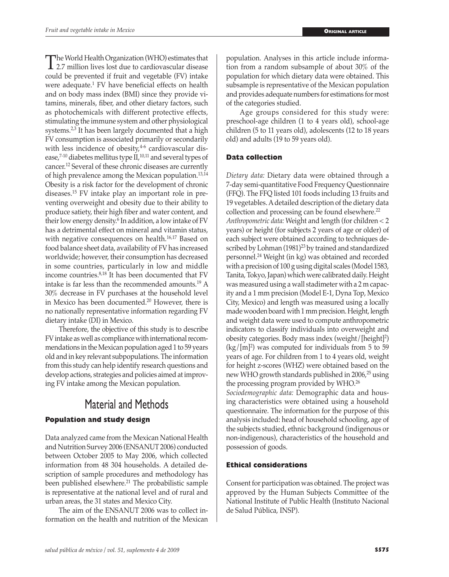The World Health Organization (WHO) estimates that<br>2.7 million lives lost due to cardiovascular disease<br>could be requested if finit and vecetable (EV) intelse could be prevented if fruit and vegetable (FV) intake were adequate.<sup>1</sup> FV have beneficial effects on health and on body mass index (BMI) since they provide vitamins, minerals, fiber, and other dietary factors, such as photochemicals with different protective effects, stimulating the immune system and other physiological systems.<sup>2,3</sup> It has been largely documented that a high FV consumption is associated primarily or secondarily with less incidence of obesity, $4-6$  cardiovascular disease,<sup>7-10</sup> diabetes mellitus type  $II$ ,<sup>10,11</sup> and several types of cancer.12 Several of these chronic diseases are currently of high prevalence among the Mexican population.13,14 Obesity is a risk factor for the development of chronic diseases.15 FV intake play an important role in preventing overweight and obesity due to their ability to produce satiety, their high fiber and water content, and their low energy density.6 In addition, a low intake of FV has a detrimental effect on mineral and vitamin status, with negative consequences on health.<sup>16,17</sup> Based on food balance sheet data, availability of FV has increased worldwide; however, their consumption has decreased in some countries, particularly in low and middle income countries.8,18 It has been documented that FV intake is far less than the recommended amounts.19 A 30% decrease in FV purchases at the household level in Mexico has been documented.20 However, there is no nationally representative information regarding FV dietary intake (DI) in Mexico.

Therefore, the objective of this study is to describe FV intake as well as compliance with international recommendations in the Mexican population aged 1 to 59 years old and in key relevant subpopulations. The information from this study can help identify research questions and develop actions, strategies and policies aimed at improving FV intake among the Mexican population.

## Material and Methods

### **Population and study design**

Data analyzed came from the Mexican National Health and Nutrition Survey 2006 (ENSANUT 2006) conducted between October 2005 to May 2006, which collected information from 48 304 households. A detailed description of sample procedures and methodology has been published elsewhere.<sup>21</sup> The probabilistic sample is representative at the national level and of rural and urban areas, the 31 states and Mexico City.

The aim of the ENSANUT 2006 was to collect information on the health and nutrition of the Mexican population. Analyses in this article include information from a random subsample of about 30% of the population for which dietary data were obtained. This subsample is representative of the Mexican population and provides adequate numbers for estimations for most of the categories studied.

Age groups considered for this study were: preschool-age children (1 to 4 years old), school-age children (5 to 11 years old), adolescents (12 to 18 years old) and adults (19 to 59 years old).

#### **Data collection**

*Dietary data:* Dietary data were obtained through a 7-day semi-quantitative Food Frequency Questionnaire (FFQ). The FFQ listed 101 foods including 13 fruits and 19 vegetables. A detailed description of the dietary data collection and processing can be found elsewhere.<sup>22</sup> *Anthropometric data:* Weight and length (for children < 2 years) or height (for subjects 2 years of age or older) of each subject were obtained according to techniques described by Lohman (1981)<sup>23</sup> by trained and standardized personnel.24 Weight (in kg) was obtained and recorded with a precision of 100 g using digital scales (Model 1583, Tanita, Tokyo, Japan) which were calibrated daily. Height was measured using a wall stadimeter with a 2 m capacity and a 1 mm precision (Model E-1, Dyna Top, Mexico City, Mexico) and length was measured using a locally made wooden board with 1 mm precision. Height, length and weight data were used to compute anthropometric indicators to classify individuals into overweight and obesity categories. Body mass index (weight/[height]2 )  $\frac{\log}{\mathrm{m}}$  was computed for individuals from 5 to 59 years of age. For children from 1 to 4 years old, weight for height z-scores (WHZ) were obtained based on the new WHO growth standards published in 2006,<sup>25</sup> using the processing program provided by WHO.26

*Sociodemographic data:* Demographic data and housing characteristics were obtained using a household questionnaire. The information for the purpose of this analysis included: head of household schooling, age of the subjects studied, ethnic background (indigenous or non-indigenous), characteristics of the household and possession of goods.

#### **Ethical considerations**

Consent for participation was obtained. The project was approved by the Human Subjects Committee of the National Institute of Public Health (Instituto Nacional de Salud Pública, INSP).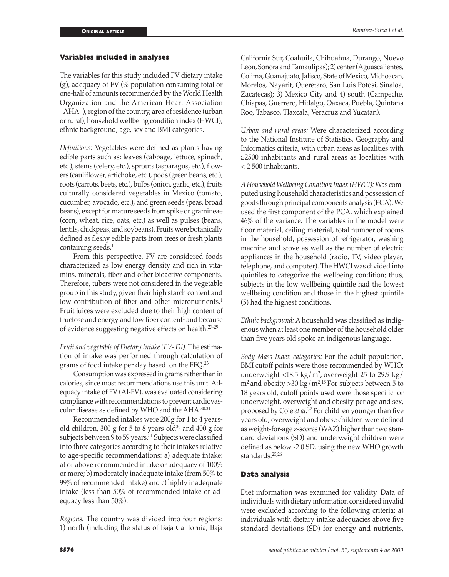#### **Variables included in analyses**

The variables for this study included FV dietary intake (g), adequacy of FV (% population consuming total or one-half of amounts recommended by the World Health Organization and the American Heart Association –AHA–), region of the country, area of residence (urban or rural), household wellbeing condition index (HWCI), ethnic background, age, sex and BMI categories.

*Definitions:* Vegetables were defined as plants having edible parts such as: leaves (cabbage, lettuce, spinach, etc.), stems (celery, etc.), sprouts (asparagus, etc.), flowers (cauliflower, artichoke, etc.), pods (green beans, etc.), roots (carrots, beets, etc.), bulbs (onion, garlic, etc.), fruits culturally considered vegetables in Mexico (tomato, cucumber, avocado, etc.), and green seeds (peas, broad beans), except for mature seeds from spike or gramineae (corn, wheat, rice, oats, etc.) as well as pulses (beans, lentils, chickpeas, and soybeans). Fruits were botanically defined as fleshy edible parts from trees or fresh plants containing seeds.<sup>1</sup>

From this perspective, FV are considered foods characterized as low energy density and rich in vitamins, minerals, fiber and other bioactive components. Therefore, tubers were not considered in the vegetable group in this study, given their high starch content and low contribution of fiber and other micronutrients.<sup>1</sup> Fruit juices were excluded due to their high content of fructose and energy and low fiber content<sup>1</sup> and because of evidence suggesting negative effects on health.27-29

*Fruit and vegetable of Dietary Intake (FV- DI).* The estimation of intake was performed through calculation of grams of food intake per day based on the FFQ.<sup>23</sup>

Consumption was expressed in grams rather than in calories, since most recommendations use this unit. Adequacy intake of FV (AI-FV), was evaluated considering compliance with recommendations to prevent cardiovascular disease as defined by WHO and the AHA.<sup>30,31</sup>

Recommended intakes were 200g for 1 to 4 yearsold children, 300 g for 5 to 8 years-old<sup>30</sup> and 400 g for subjects between 9 to 59 years.<sup>31</sup> Subjects were classified into three categories according to their intakes relative to age-specific recommendations: a) adequate intake: at or above recommended intake or adequacy of 100% or more; b) moderately inadequate intake (from 50% to 99% of recommended intake) and c) highly inadequate intake (less than 50% of recommended intake or adequacy less than 50%).

*Regions:* The country was divided into four regions: 1) north (including the status of Baja California, Baja California Sur, Coahuila, Chihuahua, Durango, Nuevo Leon, Sonora and Tamaulipas); 2) center (Aguascalientes, Colima, Guanajuato, Jalisco, State of Mexico, Michoacan, Morelos, Nayarit, Queretaro, San Luis Potosi, Sinaloa, Zacatecas); 3) Mexico City and 4) south (Campeche, Chiapas, Guerrero, Hidalgo, Oaxaca, Puebla, Quintana Roo, Tabasco, Tlaxcala, Veracruz and Yucatan).

*Urban and rural areas:* Were characterized according to the National Institute of Statistics, Geography and Informatics criteria, with urban areas as localities with ≥2500 inhabitants and rural areas as localities with < 2 500 inhabitants.

*A Household Wellbeing Condition Index (HWCI):* Was computed using household characteristics and possession of goods through principal components analysis (PCA). We used the first component of the PCA, which explained 46% of the variance. The variables in the model were floor material, ceiling material, total number of rooms in the household, possession of refrigerator, washing machine and stove as well as the number of electric appliances in the household (radio, TV, video player, telephone, and computer). The HWCI was divided into quintiles to categorize the wellbeing condition; thus, subjects in the low wellbeing quintile had the lowest wellbeing condition and those in the highest quintile (5) had the highest conditions.

*Ethnic background:* A household was classified as indigenous when at least one member of the household older than five years old spoke an indigenous language.

*Body Mass Index categories:* For the adult population, BMI cutoff points were those recommended by WHO: underweight  $\langle 18.5 \text{ kg/m}^2$ , overweight 25 to 29.9 kg/  $m<sup>2</sup>$  and obesity  $>$ 30 kg/m<sup>215</sup> For subjects between 5 to 18 years old, cutoff points used were those specific for underweight, overweight and obesity per age and sex, proposed by Cole *et al*. <sup>32</sup> For children younger than five years old, overweight and obese children were defined as weight-for-age z-scores (WAZ) higher than two standard deviations (SD) and underweight children were defined as below -2.0 SD, using the new WHO growth standards.25,26

#### **Data analysis**

Diet information was examined for validity. Data of individuals with dietary information considered invalid were excluded according to the following criteria: a) individuals with dietary intake adequacies above five standard deviations (SD) for energy and nutrients,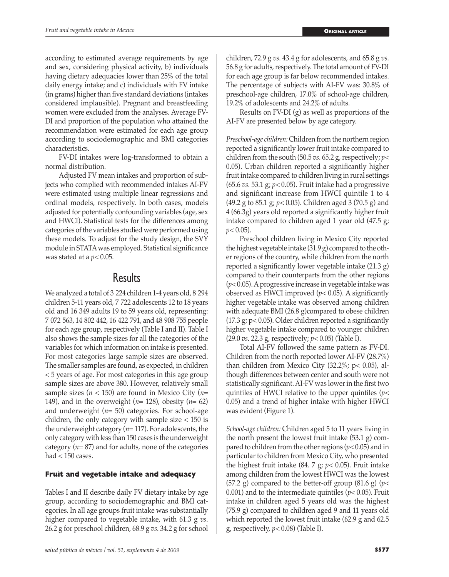according to estimated average requirements by age and sex, considering physical activity, b) individuals having dietary adequacies lower than 25% of the total daily energy intake; and c) individuals with FV intake (in grams) higher than five standard deviations (intakes considered implausible). Pregnant and breastfeeding women were excluded from the analyses. Average FV-DI and proportion of the population who attained the recommendation were estimated for each age group according to sociodemographic and BMI categories characteristics.

FV-DI intakes were log-transformed to obtain a normal distribution.

Adjusted FV mean intakes and proportion of subjects who complied with recommended intakes AI-FV were estimated using multiple linear regressions and ordinal models, respectively. In both cases, models adjusted for potentially confounding variables (age, sex and HWCI). Statistical tests for the differences among categories of the variables studied were performed using these models. To adjust for the study design, the SVY module in STATA was employed. Statistical significance was stated at a *p<* 0.05.

## Results

We analyzed a total of 3 224 children 1-4 years old, 8 294 children 5-11 years old, 7 722 adolescents 12 to 18 years old and 16 349 adults 19 to 59 years old, representing: 7 072 563, 14 802 442, 16 422 791, and 48 908 755 people for each age group, respectively (Table I and II). Table I also shows the sample sizes for all the categories of the variables for which information on intake is presented. For most categories large sample sizes are observed. The smaller samples are found, as expected, in children < 5 years of age. For most categories in this age group sample sizes are above 380. However, relatively small sample sizes (*n* < 150) are found in Mexico City (*n*= 149), and in the overweight (*n*= 128), obesity (*n*= 62) and underweight (*n*= 50) categories. For school-age children, the only category with sample size < 150 is the underweight category (*n*= 117). For adolescents, the only category with less than 150 cases is the underweight category (*n*= 87) and for adults, none of the categories had  $<$  150 cases.

#### **Fruit and vegetable intake and adequacy**

Tables I and II describe daily FV dietary intake by age group, according to sociodemographic and BMI categories. In all age groups fruit intake was substantially higher compared to vegetable intake, with 61.3 g *vs*. 26.2 g for preschool children, 68.9 g *vs*. 34.2 g for school

children, 72.9 g *vs*. 43.4 g for adolescents, and 65.8 g *vs*. 56.8 g for adults, respectively. The total amount of FV-DI for each age group is far below recommended intakes. The percentage of subjects with AI-FV was: 30.8% of preschool-age children, 17.0% of school-age children, 19.2% of adolescents and 24.2% of adults.

Results on FV-DI (g) as well as proportions of the AI-FV are presented below by age category.

*Preschool-age children:* Children from the northern region reported a significantly lower fruit intake compared to children from the south (50.5 *vs*. 65.2 g, respectively; *p<* 0.05). Urban children reported a significantly higher fruit intake compared to children living in rural settings (65.6 *vs*. 53.1 g; *p<* 0.05). Fruit intake had a progressive and significant increase from HWCI quintile 1 to 4 (49.2 g to 85.1 g; *p<* 0.05). Children aged 3 (70.5 g) and 4 (66.3g) years old reported a significantly higher fruit intake compared to children aged 1 year old (47.5 g;  $p<0.05$ ).

Preschool children living in Mexico City reported the highest vegetable intake (31.9 g) compared to the other regions of the country, while children from the north reported a significantly lower vegetable intake (21.3 g) compared to their counterparts from the other regions (*p<* 0.05). A progressive increase in vegetable intake was observed as HWCI improved (*p<* 0.05). A significantly higher vegetable intake was observed among children with adequate BMI (26.8 g)compared to obese children (17.3 g; p< 0.05). Older children reported a significantly higher vegetable intake compared to younger children (29.0 *vs*. 22.3 g, respectively; *p<* 0.05) (Table I).

Total AI-FV followed the same pattern as FV-DI. Children from the north reported lower AI-FV (28.7%) than children from Mexico City (32.2%; p< 0.05), although differences between center and south were not statistically significant. AI-FV was lower in the first two quintiles of HWCI relative to the upper quintiles (*p<* 0.05) and a trend of higher intake with higher HWCI was evident (Figure 1).

*School-age children:* Children aged 5 to 11 years living in the north present the lowest fruit intake (53.1 g) compared to children from the other regions (*p<* 0.05) and in particular to children from Mexico City, who presented the highest fruit intake (84. 7 g; *p<* 0.05). Fruit intake among children from the lowest HWCI was the lowest (57.2 g) compared to the better-off group (81.6 g) (*p<* 0.001) and to the intermediate quintiles (*p<* 0.05). Fruit intake in children aged 5 years old was the highest (75.9 g) compared to children aged 9 and 11 years old which reported the lowest fruit intake (62.9 g and 62.5 g, respectively, *p<* 0.08) (Table I).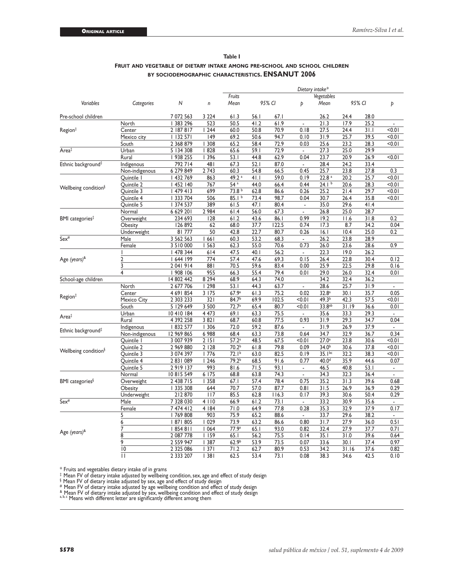|                                  |                |                 | $\mathsf{n}$ | Dietary intake*   |        |       |                          |                    |        |      |                          |  |
|----------------------------------|----------------|-----------------|--------------|-------------------|--------|-------|--------------------------|--------------------|--------|------|--------------------------|--|
| Variables                        |                | N               |              | Fruits<br>Mean    |        |       |                          | Vegetables         |        |      |                          |  |
|                                  | Categories     |                 |              |                   | 95% CI |       | Þ                        | Mean               | 95% CI |      | Þ                        |  |
| Pre-school children              |                | 7 072 563       | 3 2 2 4      | 61.3              | 56.1   | 67.1  |                          | 26.2               | 24.4   | 28.0 |                          |  |
| Region <sup>‡</sup>              | North          | 383 296         | 523          | 50.5              | 41.2   | 61.9  | ä,                       | 21.3               | 17.9   | 25.2 | ä,                       |  |
|                                  | Center         | 2   87 8   7    | 1244         | 60.0              | 50.8   | 70.9  | 0.18                     | 27.5               | 24.4   | 31.1 | < 0.01                   |  |
|                                  | Mexico city    | 132 571         | 149          | 69.2              | 50.6   | 94.7  | 0.10                     | 31.9               | 25.7   | 39.5 | < 0.01                   |  |
|                                  | South          | 2 368 879       | 308          | 65.2              | 58.4   | 72.9  | 0.03                     | 25.6               | 23.2   | 28.3 | < 0.01                   |  |
| Area‡                            | Urban          | 5 134 308       | 828          | 65.6              | 59.I   | 72.9  | $\overline{\phantom{a}}$ | 27.3               | 25.0   | 29.9 |                          |  |
|                                  | Rural          | 938 255         | 1396         | 53.1              | 44.8   | 62.9  | 0.04                     | 23.7               | 20.9   | 26.9 | < 0.01                   |  |
| Ethnic background‡               | Indigenous     | 792 714         | 481          | 67.3              | 52.1   | 87.0  | $\blacksquare$           | 28.4               | 24.2   | 33.4 |                          |  |
|                                  | Non-indigenous | 6 279 849       | 2 7 4 3      | 60.3              | 54.8   | 66.5  | 0.45                     | 25.7               | 23.8   | 27.8 | 0.3                      |  |
| Wellbeing condition <sup>§</sup> | Quintile I     | 432 769         | 863          | 49.2 <sup>a</sup> | 41.1   | 59.0  | 0.19                     | 22.8 <sup>a</sup>  | 20.2   | 25.7 | < 0.01                   |  |
|                                  | Quintile 2     | 452   40        | 767          | 54a               | 44.0   | 66.4  | 0.44                     | 24.1 <sup>b</sup>  | 20.6   | 28.3 | 10.0                     |  |
|                                  | Quintile 3     | 479 413         | 699          | 73.8 <sup>b</sup> | 62.8   | 86.6  | 0.26                     | 25.2               | 21.4   | 29.7 | < 0.01                   |  |
|                                  | Quintile 4     | 333 704         | 506          | 85.1 <sup>b</sup> | 73.4   | 98.7  | 0.04                     | 30.7               | 26.4   | 35.8 | < 0.01                   |  |
|                                  | Quintile 5     | 374 537         | 389          | 61.5              | 47.I   | 80.4  | ä,                       | 35.0               | 29.6   | 41.4 |                          |  |
| BMI categories‡                  | Normal         | 6 629 201       | 2 9 8 4      | 61.4              | 56.0   | 67.3  | $\overline{\phantom{a}}$ | 26.8               | 25.0   | 28.7 |                          |  |
|                                  | Overweight     | 234 693         | 128          | 61.2              | 43.6   | 86.I  | 0.99                     | 19.2               | 11.6   | 31.8 | 0.2                      |  |
|                                  | Obesity        | 126 892         | 62           | 68.0              | 37.7   | 122.5 | 0.74                     | 17.3               | 8.7    | 34.2 | 0.04                     |  |
|                                  | Underweight    | 81777           | 50           | 42.8              | 22.7   | 80.7  | 0.26                     | 16.1               | 10.4   | 25.0 | 0.2                      |  |
| $Sex^{\#}$                       | Male           | 3 562 563       | 1661         | 60.3              | 53.2   | 68.3  | ÷,                       | 26.2               | 23.8   | 28.9 |                          |  |
|                                  | Female         | 3 5 1 0 0 0 0 0 | 563          | 62.3              | 55.0   | 70.6  | 0.73                     | 26.0               | 23.6   | 28.6 | 0.9                      |  |
| Age (years) <sup>&amp;</sup>     |                | 478 344         | 614          | 47.5              | 40.I   | 56.2  | ä,                       | 22.3               | 19.0   | 26.2 |                          |  |
|                                  | $\overline{2}$ | 644 199         | 774          | 57.4              | 47.6   | 69.3  | 0.15                     | 26.4               | 22.8   | 30.4 | 0.12                     |  |
|                                  | 3              | 2 041 914       | 881          | 70.5              | 59.6   | 83.4  | 0.00                     | 25.9               | 22.5   | 29.8 | 0.16                     |  |
|                                  | 4              | 908 106         | 955          | 66.3              | 55.4   | 79.4  | 0.01                     | 29.0               | 26.0   | 32.4 | 0.01                     |  |
| School-age children              |                | 14 802 442      | 8 2 9 4      | 68.9              | 64.3   | 74.0  |                          | 34.2               | 32.4   | 36.2 |                          |  |
|                                  | North          | 2 677 706       | 298          | 53.1              | 44.3   | 63.7  | L,                       | 28.6               | 25.7   | 31.9 | $\blacksquare$           |  |
|                                  | Center         | 4 691 854       | 3 1 7 5      | 67.9a             | 61.3   | 75.2  | 0.02                     | 32.8 <sup>a</sup>  | 30.1   | 35.7 | 0.05                     |  |
| Region‡                          | Mexico City    | 2 303 233       | 321          | 84.7 <sup>b</sup> | 69.9   | 102.5 | < 0.01                   | 49.3 <sup>b</sup>  | 42.3   | 57.5 | < 0.01                   |  |
|                                  | South          | 5 129 649       | 3 500        | 72.7 <sup>a</sup> | 65.4   | 80.7  | < 0.01                   | 33.8 <sup>ab</sup> | 31.19  | 36.6 | 0.01                     |  |
|                                  | Urban          | 10410184        | 4 4 7 3      | 69.1              | 63.3   | 75.5  | ÷,                       | 35.6               | 33.3   | 29.3 |                          |  |
| Area‡                            | Rural          | 4 392 258       | 3 8 2 1      | 68.7              | 60.8   | 77.5  | 0.93                     | 31.9               | 29.3   | 34.7 | 0.04                     |  |
|                                  | Indigenous     | 832 577         | 306          | 72.0              | 59.2   | 87.6  | $\blacksquare$           | 31.9               | 26.9   | 37.9 | $\blacksquare$           |  |
| Ethnic background <sup>‡</sup>   | Non-indigenous | 12 969 865      | 6 9 8 8      | 68.4              | 63.3   | 73.8  | 0.64                     | 34.7               | 32.9   | 36.7 | 0.34                     |  |
| Wellbeing condition <sup>§</sup> | Quintile 1     | 3 007 939       | 2151         | 57.2 <sup>a</sup> | 48.5   | 67.5  | < 0.01                   | $27.0^{\circ}$     | 23.8   | 30.6 | < 0.01                   |  |
|                                  | Quintile 2     | 2 969 880       | 2 1 2 8      | 70.2 <sup>b</sup> | 61.8   | 79.8  | 0.09                     | $34.0^{b}$         | 30.6   | 37.8 | 10.0                     |  |
|                                  | Quintile 3     | 3 074 397       | 1776         | 72.1 <sup>b</sup> | 63.0   | 82.5  | 0.19                     | $35.1^{bc}$        | 32.2   | 38.3 | < 0.01                   |  |
|                                  | Quintile 4     | 2831089         | 1246         | 79.2 <sup>b</sup> | 68.5   | 91.6  | 0.77                     | 40.0 <sup>d</sup>  | 35.9   | 44.6 | 0.07                     |  |
|                                  | Quintile 5     | 2919137         | 993          | 81.6              | 71.5   | 93.1  | $\overline{\phantom{a}}$ | 46.5               | 40.8   | 53.1 | $\overline{\phantom{a}}$ |  |
| BMI categories <sup>§</sup>      | Normal         | 10815549        | 6 175        | 68.8              | 63.8   | 74.3  | L.                       | 34.3               | 32.3   | 36.4 | ä,                       |  |
|                                  | Overweight     | 2 438 715       | 358          | 67.1              | 57.4   | 78.4  | 0.75                     | 35.2               | 31.3   | 39.6 | 0.68                     |  |
|                                  | Obesity        | 335 308         | 644          | 70.7              | 57.0   | 87.7  | 0.81                     | 31.5               | 26.9   | 36.9 | 0.29                     |  |
|                                  | Underweight    | 212870          | 117          | 85.5              | 62.8   | 116.3 | 0.17                     | 39.3               | 30.6   | 50.4 | 0.29                     |  |
| $Sex^{\#}$                       | Male           | 7 328 030       | 4   10       | 66.9              | 61.2   | 73.1  | ÷,                       | 33.2               | 30.9   | 35.6 |                          |  |
|                                  | Female         | 7 474 412       | 4   84       | 71.0              | 64.9   | 77.8  | 0.28                     | 35.3               | 32.9   | 37.9 | 0.17                     |  |
|                                  | $\overline{5}$ | 769 808         | 903          | 75.9              | 65.2   | 88.6  | ÷,                       | 33.7               | 29.6   | 38.2 |                          |  |
|                                  | 6              | 87  805         | 1029         | 73.9              | 63.2   | 86.6  | 0.80                     | 31.7               | 27.9   | 36.0 | 0.51                     |  |
|                                  | 7              | 854 811         | 1064         | 77.9a             | 65.1   | 93.0  | 0.82                     | 32.4               | 27.9   | 37.7 | 0.71                     |  |
| Age (years) <sup>&amp;</sup>     | 8              | 2 087 778       | 1159         | 65.1              | 56.2   | 75.5  | 0.14                     | 35.1               | 31.0   | 39.6 | 0.64                     |  |
|                                  | 9              | 2 559 947       | 387          | 62.9 <sup>b</sup> | 53.9   | 73.5  | 0.07                     | 33.6               | 30.1   | 37.4 | 0.97                     |  |
|                                  | 10             | 2 3 2 5 0 8 6   | 1371         | 71.2              | 62.7   | 80.9  | 0.53                     | 34.2               | 31.16  | 37.6 | 0.82                     |  |
|                                  | П              | 2 333 207       | 381          | 62.5              | 53.4   | 73.I  | 0.08                     | 38.3               | 34.6   | 42.5 | 0.10                     |  |

#### **Table I Fruit and vegetable of dietary intake among pre-school and school children by sociodemographic characteristics. ENSANUT 2006**

\* Fruits and vegetables dietary intake of in grams<br>\* Mean FV of dietary intake adjusted by wellbeing condition, sex, age and effect of study design<br>\* Mean FV of dietary intake adjusted by sex, age and effect of study desi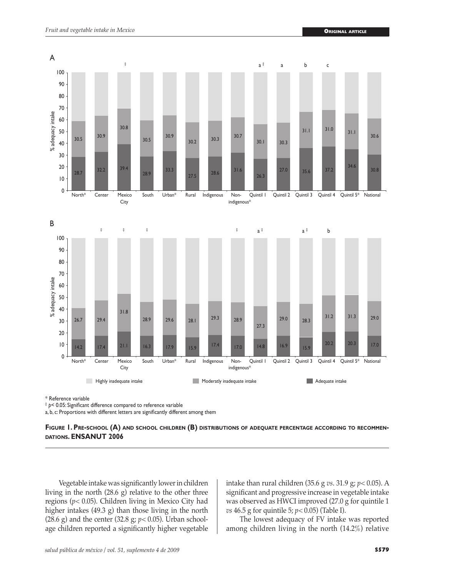

\* Reference variable

‡ *p<* 0.05: Significant difference compared to reference variable

a, b, c: Proportions with different letters are significantly different among them

#### **Figure 1. Pre-school (A) and school children (B) distributions of adequate percentage according to recommendations. ENSANUT 2006**

Vegetable intake was significantly lower in children living in the north (28.6 g) relative to the other three regions (*p<* 0.05). Children living in Mexico City had higher intakes (49.3 g) than those living in the north (28.6 g) and the center (32.8 g; *p<* 0.05). Urban schoolage children reported a significantly higher vegetable

intake than rural children (35.6 g *vs*. 31.9 g; *p<* 0.05). A significant and progressive increase in vegetable intake was observed as HWCI improved (27.0 g for quintile 1 *vs* 46.5 g for quintile 5; *p<* 0.05) (Table I).

The lowest adequacy of FV intake was reported among children living in the north (14.2%) relative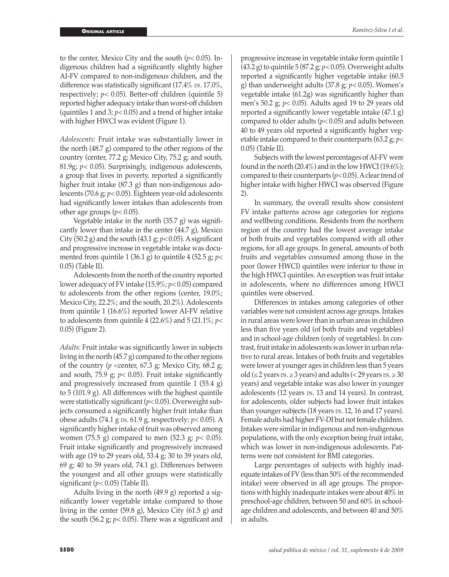to the center, Mexico City and the south (*p<* 0.05). Indigenous children had a significantly slightly higher AI-FV compared to non-indigenous children, and the difference was statistically significant (17.4% *vs*. 17.0%, respectively; *p<* 0.05). Better-off children (quintile 5) reported higher adequacy intake than worst-off children (quintiles 1 and 3; *p<* 0.05) and a trend of higher intake with higher HWCI was evident (Figure 1).

*Adolescents:* Fruit intake was substantially lower in the north (48.7 g) compared to the other regions of the country (center, 77.2 g; Mexico City, 75.2 g; and south, 81.9g; *p<* 0.05). Surprisingly, indigenous adolescents, a group that lives in poverty, reported a significantly higher fruit intake (87.3 g) than non-indigenous adolescents (70.6 g; *p<* 0.05). Eighteen year-old adolescents had significantly lower intakes than adolescents from other age groups (*p<* 0.05).

Vegetable intake in the north (35.7 g) was significantly lower than intake in the center (44.7 g), Mexico City (50.2 g) and the south (43.1 g; *p<* 0.05). A significant and progressive increase in vegetable intake was documented from quintile 1 (36.1 g) to quintile 4 (52.5 g; *p<* 0.05) (Table II).

Adolescents from the north of the country reported lower adequacy of FV intake (15.9%; *p<* 0.05) compared to adolescents from the other regions (center, 19.0%; Mexico City, 22.2%; and the south, 20.2%). Adolescents from quintile 1 (16.6%) reported lower AI-FV relative to adolescents from quintile 4 (22.6%) and 5 (21.1%; *p<* 0.05) (Figure 2).

*Adults:* Fruit intake was significantly lower in subjects living in the north (45.7 g) compared to the other regions of the country ( $p$  <center, 67.3 g; Mexico City, 68.2 g; and south, 75.9 g; *p<* 0.05). Fruit intake significantly and progressively increased from quintile 1 (55.4 g) to 5 (101.9 g). All differences with the highest quintile were statistically significant (*p<* 0.05). Overweight subjects consumed a significantly higher fruit intake than obese adults (74.1 g *vs*. 61.9 g, respectively; *p<* 0.05). A significantly higher intake of fruit was observed among women (75.5 g) compared to men (52.3 g; *p<* 0.05). Fruit intake significantly and progressively increased with age (19 to 29 years old, 53.4 g; 30 to 39 years old, 69 g; 40 to 59 years old, 74.1 g). Differences between the youngest and all other groups were statistically significant  $(p<0.05)$  (Table II).

Adults living in the north (49.9 g) reported a significantly lower vegetable intake compared to those living in the center (59.8 g), Mexico City (61.5 g) and the south (56.2 g;  $p < 0.05$ ). There was a significant and

progressive increase in vegetable intake form quintile 1 (43.2 g) to quintile 5 (87.2 g; *p<* 0.05). Overweight adults reported a significantly higher vegetable intake (60.5 g) than underweight adults (37.8 g; *p<* 0.05). Women's vegetable intake (61.2g) was significantly higher than men's 50.2 g; *p<* 0.05). Adults aged 19 to 29 years old reported a significantly lower vegetable intake (47.1 g) compared to older adults (*p<* 0.05) and adults between 40 to 49 years old reported a significantly higher vegetable intake compared to their counterparts (63.2 g; *p<* 0.05) (Table II).

Subjects with the lowest percentages of AI-FV were found in the north (20.4%) and in the low HWCI (19.6%); compared to their counterparts (*p<* 0.05). A clear trend of higher intake with higher HWCI was observed (Figure 2).

In summary, the overall results show consistent FV intake patterns across age categories for regions and wellbeing conditions. Residents from the northern region of the country had the lowest average intake of both fruits and vegetables compared with all other regions, for all age groups. In general, amounts of both fruits and vegetables consumed among those in the poor (lower HWCI) quintiles were inferior to those in the high HWCI quintiles. An exception was fruit intake in adolescents, where no differences among HWCI quintiles were observed.

Differences in intakes among categories of other variables were not consistent across age groups. Intakes in rural areas were lower than in urban areas in children less than five years old (of both fruits and vegetables) and in school-age children (only of vegetables). In contrast, fruit intake in adolescents was lower in urban relative to rural areas. Intakes of both fruits and vegetables were lower at younger ages in children less than 5 years old ( $\leq$  2 years *vs*.  $\geq$  3 years) and adults ( $\lt$  29 years *vs*.  $\geq$  30 years) and vegetable intake was also lower in younger adolescents (12 years *vs*. 13 and 14 years). In contrast, for adolescents, older subjects had lower fruit intakes than younger subjects (18 years *vs*. 12, 16 and 17 years). Female adults had higher FV-DI but not female children. Intakes were similar in indigenous and non-indigenous populations, with the only exception being fruit intake, which was lower in non-indigenous adolescents. Patterns were not consistent for BMI categories.

Large percentages of subjects with highly inadequate intakes of FV (less than 50% of the recommended intake) were observed in all age groups. The proportions with highly inadequate intakes were about 40% in preschool-age children, between 50 and 60% in schoolage children and adolescents, and between 40 and 50% in adults.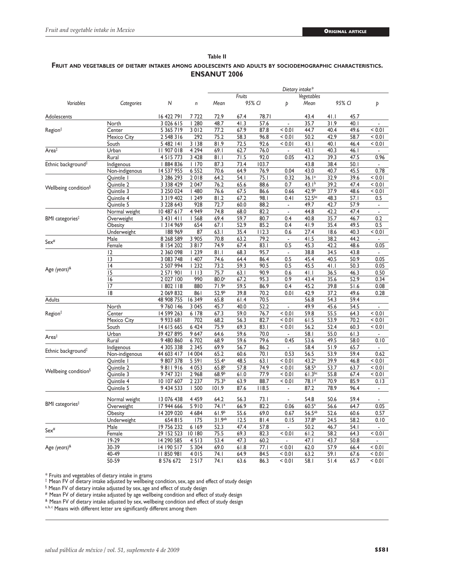#### **Table II Fruit and vegetables of dietary intakes among adolescents and adults by sociodemographic characteristics. ENSANUT 2006**

|                                                                    | Categories     |               | n       | Dietary intake*    |                  |       |                |                   |        |      |                          |  |
|--------------------------------------------------------------------|----------------|---------------|---------|--------------------|------------------|-------|----------------|-------------------|--------|------|--------------------------|--|
|                                                                    |                |               |         |                    | Fruits<br>95% CI |       |                | Vegetables        |        |      |                          |  |
| Variables                                                          |                | Ν             |         | Mean               |                  |       | Þ              | Mean              | 95% CI |      | Þ                        |  |
| Adolescents                                                        |                | 16 422 791    | 7722    | 72.9               | 67.4             | 78.71 |                | 43.4              | 41.1   | 45.7 |                          |  |
| Region <sup>‡</sup>                                                | North          | 3 0 2 6 1 5   | 1280    | 48.7               | 41.3             | 57.6  | L,             | 35.7              | 31.9   | 40.1 | L                        |  |
|                                                                    | Center         | 5 365 719     | 3012    | 77.2               | 67.9             | 87.8  | < 0.01         | 44.7              | 40.4   | 49.6 | < 0.01                   |  |
|                                                                    | Mexico City    | 2 548 316     | 292     | 75.2               | 58.3             | 96.8  | < 0.01         | 50.2              | 42.9   | 58.7 | < 0.01                   |  |
|                                                                    | South          | 5 482 141     | 3 1 3 8 | 81.9               | 72.5             | 92.6  | < 0.01         | 43.1              | 40.1   | 46.4 | < 0.01                   |  |
| Area‡                                                              | Urban          | 11 907 018    | 4 2 9 4 | 69.1               | 62.7             | 76.0  |                | 43.1              | 40.3   | 46.1 | ÷                        |  |
|                                                                    | Rural          | 4 5 1 5 7 7 3 | 3 4 2 8 | 81.I               | 71.5             | 92.0  | 0.05           | 43.2              | 39.3   | 47.5 | 0.96                     |  |
| Ethnic background <sup>#</sup>                                     | Indigenous     | 884 836       | 1170    | 87.3               | 73.4             | 103.7 |                | 43.8              | 38.4   | 50.1 |                          |  |
|                                                                    | Non-indigenous | 14 537 955    | 6 5 5 2 | 70.6               | 64.9             | 76.9  | 0.04           | 43.0              | 40.7   | 45.5 | 0.78                     |  |
| Wellbeing condition <sup>§</sup>                                   | Quintile I     | 3 286 293     | 2018    | 64.2               | 54.I             | 75.1  | 0.32           | 36.1 <sup>a</sup> | 32.9   | 39.6 | < 0.01                   |  |
|                                                                    | Quintile 2     | 3 3 3 4 2 9   | 2047    | 76.2               | 65.6             | 88.6  | 0.7            | 43.1 <sup>b</sup> | 39.2   | 47.4 | < 0.01                   |  |
|                                                                    | Quintile 3     | 3 250 024     | 1480    | 76.6               | 67.5             | 86.6  | 0.66           | 42.9 <sup>b</sup> | 37.9   | 48.6 | < 0.01                   |  |
|                                                                    | Quintile 4     | 3 3 1 9 4 0 2 | 1249    | 81.2               | 67.2             | 98.I  | 0.41           | $52.5^{bc}$       | 48.3   | 57.1 | 0.5                      |  |
|                                                                    | Quintile 5     | 3 228 643     | 928     | 72.7               | 60.0             | 88.2  | ÷.             | 49.7              | 42.7   | 57.9 | ÷                        |  |
| BMI categories <sup>‡</sup>                                        | Normal weight  | 10 487 617    | 4 9 4 9 | 74.8               | 68.0             | 82.2  | L,             | 44.8              | 42.2   | 47.4 | $\blacksquare$           |  |
|                                                                    | Overweight     | 3 43   4      | 568     | 69.4               | 59.7             | 80.7  | 0.4            | 40.8              | 35.7   | 46.7 | 0.2                      |  |
|                                                                    | Obesity        | 314 969       | 654     | 67.1               | 52.9             | 85.2  | 0.4            | 41.9              | 35.4   | 49.5 | 0.5                      |  |
|                                                                    | Underweight    | 188 969       | 87      | 63.1               | 35.4             | 112.3 | 0.6            | 27.4              | 18.6   | 40.3 | < 0.01                   |  |
|                                                                    | Male           | 8 2 68 5 89   | 3 9 0 5 | 70.8               | 63.2             | 79.2  | $\blacksquare$ | 41.5              | 38.2   | 44.2 | ÷,                       |  |
| Sex <sup>#</sup>                                                   | Female         | 8 154 202     | 3817    | 74.9               | 67.4             | 83.1  | 0.5            | 45.3              | 42.2   | 48.6 | 0.05                     |  |
| Age (years) <sup>&amp;</sup>                                       | 2              | 2 360 098     | 1239    | 81.1               | 68.3             | 95.7  | $\blacksquare$ | 38.8              | 34.5   | 43.8 |                          |  |
|                                                                    | 13             | 3 083 748     | 1407    | 74.6               | 64.4             | 86.4  | 0.5            | 45.4              | 40.5   | 50.9 | 0.05                     |  |
|                                                                    | 4              | 2 507 994     | 1232    | 73.2               | 59.3             | 90.5  | 0.5            | 45.5              | 41.1   | 50.3 | 0.05                     |  |
|                                                                    | 15             | 2 571 901     | 1113    | 75.7               | 63.1             | 90.9  | 0.6            | 41.1              | 36.5   | 46.3 | 0.50                     |  |
|                                                                    | 16             | 2 027 100     | 990     | 80.0 <sup>a</sup>  | 67.2             | 95.3  | 0.9            | 43.4              | 35.6   | 52.9 | 0.34                     |  |
|                                                                    | 17             | 802   18      | 880     | 71.9 <sup>a</sup>  | 59.5             | 86.9  | 0.4            | 45.2              | 39.8   | 51.6 | 0.08                     |  |
|                                                                    | 18             | 2 069 832     | 861     | 52.9 <sup>b</sup>  | 39.8             | 70.2  | 0.01           | 42.9              | 37.2   | 49.6 | 0.28                     |  |
| <b>Adults</b>                                                      |                | 48 908 755    | 16 349  | 65.8               | 61.4             | 70.5  |                | 56.8              | 54.3   | 59.4 |                          |  |
|                                                                    | North          | 9 760 146     | 3 0 4 5 | 45.7               | 40.0             | 52.2  | ÷.             | 49.9              | 45.6   | 54.5 | L,                       |  |
| Region <sup>‡</sup>                                                | Center         | 14 599 263    | 6 178   | 67.3               | 59.0             | 76.7  | < 0.01         | 59.8              | 55.5   | 64.3 | < 0.01                   |  |
|                                                                    | Mexico City    | 9 9 3 6 8 1   | 702     | 68.2               | 56.3             | 82.7  | < 0.01         | 61.5              | 53.9   | 70.2 | < 0.01                   |  |
|                                                                    | South          | 14 615 665    | 6 4 2 4 | 75.9               | 69.3             | 83.1  | < 0.01         | 56.2              | 52.4   | 60.3 | < 0.01                   |  |
| Area <sup>‡</sup>                                                  | Urban          | 39 427 895    | 9 6 4 7 | 64.6               | 59.6             | 70.0  | $\overline{a}$ | 58.I              | 55.0   | 61.3 | $\overline{\phantom{a}}$ |  |
|                                                                    | Rural          | 9 480 860     | 6702    | 68.9               | 59.6             | 79.6  | 0.45           | 53.6              | 49.5   | 58.0 | 0.10                     |  |
| Ethnic background <sup>#</sup><br>Wellbeing condition <sup>§</sup> | Indigenous     | 4 305 338     | 2 3 4 5 | 69.9               | 56.7             | 86.2  | ÷,             | 58.4              | 51.9   | 65.7 | $\overline{a}$           |  |
|                                                                    | Non-indigenous | 44 603 417    | 14 004  | 65.2               | 60.6             | 70.1  | 0.53           | 56.5              | 53.9   | 59.4 | 0.62                     |  |
|                                                                    | Quintile I     | 9 807 378     | 5 5 9 1 | $55.4^a$           | 48.5             | 63.1  | < 0.01         | 43.2 <sup>a</sup> | 39.9   | 46.8 | < 0.01                   |  |
|                                                                    | Quintile 2     | 9811916       | 4 0 5 3 | 65.8 <sup>b</sup>  | 57.8             | 74.9  | < 0.01         | $58.5^{b}$        | 53.7   | 63.7 | < 0.01                   |  |
|                                                                    | Quintile 3     | 9 747 321     | 2 9 6 8 | 68.9 <sup>b</sup>  | 61.0             | 77.9  | < 0.01         | $61.3^{bc}$       | 55.8   | 67.4 | < 0.01                   |  |
|                                                                    | Quintile 4     | 10 107 607    | 2 2 3 7 | 75.3 <sup>b</sup>  | 63.9             | 88.7  | < 0.01         | 78.1 <sup>d</sup> | 70.9   | 85.9 | 0.13                     |  |
|                                                                    | Quintile 5     | 9 434 533     | 1500    | 101.9              | 87.6             | 118.5 | $\blacksquare$ | 87.2              | 78.9   | 96.4 | $\blacksquare$           |  |
|                                                                    |                |               |         |                    |                  |       |                |                   |        |      |                          |  |
| BMI categories <sup>#</sup>                                        | Normal weight  | 13 076 438    | 4 4 5 9 | 64.2               | 56.3             | 73.1  | $\overline{a}$ | 54.8              | 50.6   | 59.4 | ä,                       |  |
|                                                                    | Overweight     | 17 944 666    | 5910    | 74.1 <sup>a</sup>  | 66.9             | 82.2  | 0.06           | 60.5 <sup>a</sup> | 56.6   | 64.7 | 0.05                     |  |
|                                                                    | Obesity        | 14 209 020    | 4 6 8 4 | 61.9 <sup>b</sup>  | 55.6             | 69.0  | 0.67           | $56.5^{ab}$       | 52.6   | 60.6 | 0.57                     |  |
|                                                                    | Underweight    | 654815        | 175     | 31.9 <sup>ab</sup> | 12.5             | 81.4  | 0.15           | 37.8 <sup>b</sup> | 24.5   | 58.2 | 0.10                     |  |
| Sex <sup>#</sup>                                                   | Male           | 19 756 232    | 6 1 6 9 | 52.3               | 47.4             | 57.8  | ÷.             | 50.2              | 46.7   | 54.1 | ä,                       |  |
|                                                                    | Female         | 29 152 523    | 10 180  | 75.5               | 69.3             | 82.3  | < 0.01         | 61.2              | 58.2   | 64.3 | < 0.01                   |  |
|                                                                    | 19-29          | 14 290 585    | 4513    | 53.4               | 47.3             | 60.2  | ä,             | 47.1              | 43.7   | 50.8 | ä,                       |  |
| Age (years) <sup>&amp;</sup>                                       | 30-39          | 14 190 517    | 5 3 0 4 | 69.0               | 61.8             | 77.1  | < 0.01         | 62.0              | 57.9   | 66.4 | < 0.01                   |  |
|                                                                    | 40-49          | 11850981      | 4015    | 74. I              | 64.9             | 84.5  | < 0.01         | 63.2              | 59.1   | 67.6 | < 0.01                   |  |
|                                                                    | 50-59          | 8 576 672     | 2517    | 74.I               | 63.6             | 86.3  | < 0.01         | 58.I              | 51.4   | 65.7 | < 0.01                   |  |

\* Fruits and vegetables of dietary intake in grams ‡ Mean FV of dietary intake adjusted by wellbeing condition, sex, age and effect of study design

 $§$  Mean FV of dietary intake adjusted by sex, age and effect of study design

# Mean FV of dietary intake adjusted by age wellbeing condition and effect of study design

& Mean FV of dietary intake adjusted by sex, wellbeing condition and effect of study design

a, b, c Means with different letter are significantly different among them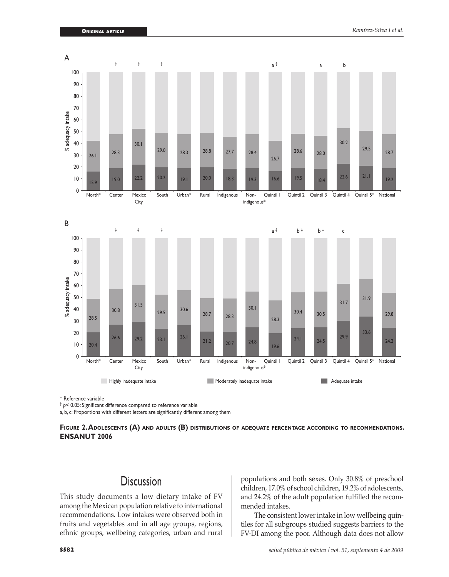

\* Reference variable

‡ *p<* 0.05: Significant difference compared to reference variable

a, b, c: Proportions with different letters are significantly different among them

**Figure 2. Adolescents (A) and adults (B) distributions of adequate percentage according to recommendations. ENSANUT 2006**

## **Discussion**

This study documents a low dietary intake of FV among the Mexican population relative to international recommendations. Low intakes were observed both in fruits and vegetables and in all age groups, regions, ethnic groups, wellbeing categories, urban and rural populations and both sexes. Only 30.8% of preschool children, 17.0% of school children, 19.2% of adolescents, and 24.2% of the adult population fulfilled the recommended intakes.

The consistent lower intake in low wellbeing quintiles for all subgroups studied suggests barriers to the FV-DI among the poor. Although data does not allow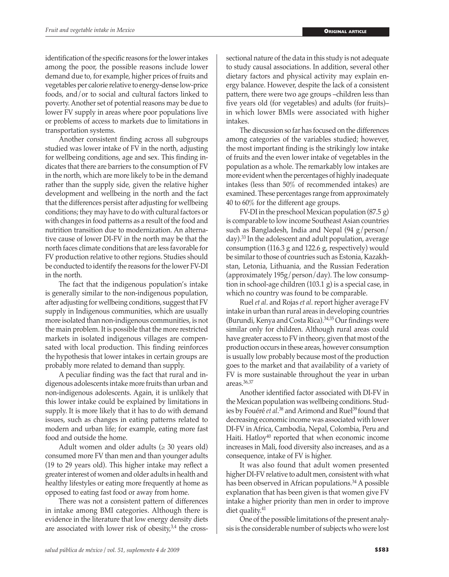identification of the specific reasons for the lower intakes among the poor, the possible reasons include lower demand due to, for example, higher prices of fruits and vegetables per calorie relative to energy-dense low-price foods, and/or to social and cultural factors linked to poverty. Another set of potential reasons may be due to lower FV supply in areas where poor populations live or problems of access to markets due to limitations in transportation systems.

Another consistent finding across all subgroups studied was lower intake of FV in the north, adjusting for wellbeing conditions, age and sex. This finding indicates that there are barriers to the consumption of FV in the north, which are more likely to be in the demand rather than the supply side, given the relative higher development and wellbeing in the north and the fact that the differences persist after adjusting for wellbeing conditions; they may have to do with cultural factors or with changes in food patterns as a result of the food and nutrition transition due to modernization. An alternative cause of lower DI-FV in the north may be that the north faces climate conditions that are less favorable for FV production relative to other regions. Studies should be conducted to identify the reasons for the lower FV-DI in the north.

The fact that the indigenous population's intake is generally similar to the non-indigenous population, after adjusting for wellbeing conditions, suggest that FV supply in Indigenous communities, which are usually more isolated than non-indigenous communities, is not the main problem. It is possible that the more restricted markets in isolated indigenous villages are compensated with local production. This finding reinforces the hypothesis that lower intakes in certain groups are probably more related to demand than supply.

A peculiar finding was the fact that rural and indigenous adolescents intake more fruits than urban and non-indigenous adolescents. Again, it is unlikely that this lower intake could be explained by limitations in supply. It is more likely that it has to do with demand issues, such as changes in eating patterns related to modern and urban life; for example, eating more fast food and outside the home.

Adult women and older adults  $(\geq 30 \text{ years old})$ consumed more FV than men and than younger adults (19 to 29 years old). This higher intake may reflect a greater interest of women and older adults in health and healthy lifestyles or eating more frequently at home as opposed to eating fast food or away from home.

There was not a consistent pattern of differences in intake among BMI categories. Although there is evidence in the literature that low energy density diets are associated with lower risk of obesity, $3,4$  the crosssectional nature of the data in this study is not adequate to study causal associations. In addition, several other dietary factors and physical activity may explain energy balance. However, despite the lack of a consistent pattern, there were two age groups –children less than five years old (for vegetables) and adults (for fruits)– in which lower BMIs were associated with higher intakes.

The discussion so far has focused on the differences among categories of the variables studied; however, the most important finding is the strikingly low intake of fruits and the even lower intake of vegetables in the population as a whole. The remarkably low intakes are more evident when the percentages of highly inadequate intakes (less than 50% of recommended intakes) are examined. These percentages range from approximately 40 to 60% for the different age groups.

FV-DI in the preschool Mexican population (87.5 g) is comparable to low income Southeast Asian countries such as Bangladesh, India and Nepal  $(94 \text{ g}/\text{person}/$ day).33 In the adolescent and adult population, average consumption (116.3 g and 122.6 g, respectively) would be similar to those of countries such as Estonia, Kazakhstan, Letonia, Lithuania, and the Russian Federation (approximately  $195g/person/day$ ). The low consumption in school-age children (103.1 g) is a special case, in which no country was found to be comparable.

Ruel *et al*. and Rojas *et al.* report higher average FV intake in urban than rural areas in developing countries (Burundi, Kenya and Costa Rica).34,35 Our findings were similar only for children. Although rural areas could have greater access to FV in theory, given that most of the production occurs in these areas, however consumption is usually low probably because most of the production goes to the market and that availability of a variety of FV is more sustainable throughout the year in urban areas.36,37

Another identified factor associated with DI-FV in the Mexican population was wellbeing conditions. Studies by Fouéré *et al*. 38 and Arimond and Ruel39 found that decreasing economic income was associated with lower DI-FV in Africa, Cambodia, Nepal, Colombia, Peru and Haiti. Hatloy<sup>40</sup> reported that when economic income increases in Mali, food diversity also increases, and as a consequence, intake of FV is higher.

It was also found that adult women presented higher DI-FV relative to adult men, consistent with what has been observed in African populations.<sup>34</sup> A possible explanation that has been given is that women give FV intake a higher priority than men in order to improve diet quality.<sup>41</sup>

One of the possible limitations of the present analysis is the considerable number of subjects who were lost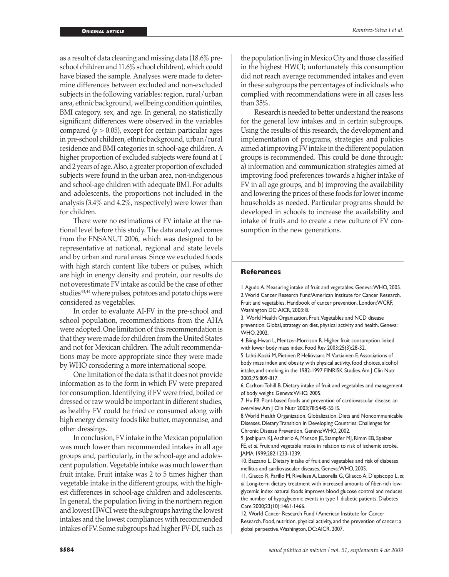as a result of data cleaning and missing data (18.6% preschool children and 11.6% school children), which could have biased the sample. Analyses were made to determine differences between excluded and non-excluded subjects in the following variables: region, rural/urban area, ethnic background, wellbeing condition quintiles, BMI category, sex, and age. In general, no statistically significant differences were observed in the variables compared  $(p > 0.05)$ , except for certain particular ages in pre-school children, ethnic background, urban/rural residence and BMI categories in school-age children. A higher proportion of excluded subjects were found at 1 and 2 years of age. Also, a greater proportion of excluded subjects were found in the urban area, non-indigenous and school-age children with adequate BMI. For adults and adolescents, the proportions not included in the analysis (3.4% and 4.2%, respectively) were lower than for children.

There were no estimations of FV intake at the national level before this study. The data analyzed comes from the ENSANUT 2006, which was designed to be representative at national, regional and state levels and by urban and rural areas. Since we excluded foods with high starch content like tubers or pulses, which are high in energy density and protein, our results do not overestimate FV intake as could be the case of other studies<sup>43,44</sup> where pulses, potatoes and potato chips were considered as vegetables.

In order to evaluate AI-FV in the pre-school and school population, recommendations from the AHA were adopted. One limitation of this recommendation is that they were made for children from the United States and not for Mexican children. The adult recommendations may be more appropriate since they were made by WHO considering a more international scope.

One limitation of the data is that it does not provide information as to the form in which FV were prepared for consumption. Identifying if FV were fried, boiled or dressed or raw would be important in different studies, as healthy FV could be fried or consumed along with high energy density foods like butter, mayonnaise, and other dressings.

In conclusion, FV intake in the Mexican population was much lower than recommended intakes in all age groups and, particularly, in the school-age and adolescent population. Vegetable intake was much lower than fruit intake. Fruit intake was 2 to 5 times higher than vegetable intake in the different groups, with the highest differences in school-age children and adolescents. In general, the population living in the northern region and lowest HWCI were the subgroups having the lowest intakes and the lowest compliances with recommended intakes of FV. Some subgroups had higher FV-DI, such as

the population living in Mexico City and those classified in the highest HWCI; unfortunately this consumption did not reach average recommended intakes and even in these subgroups the percentages of individuals who complied with recommendations were in all cases less than 35%.

Research is needed to better understand the reasons for the general low intakes and in certain subgroups. Using the results of this research, the development and implementation of programs, strategies and policies aimed at improving FV intake in the different population groups is recommended. This could be done through: a) information and communication strategies aimed at improving food preferences towards a higher intake of FV in all age groups, and b) improving the availability and lowering the prices of these foods for lower income households as needed. Particular programs should be developed in schools to increase the availability and intake of fruits and to create a new culture of FV consumption in the new generations.

#### **References**

1. Agudo A. Measuring intake of fruit and vegetables. Geneva: WHO, 2005. 2. World Cancer Research Fund/American Institute for Cancer Research. Fruit and vegetables. Handbook of cancer prevention. London: WCRF, Washington DC: AICR, 2003: 8.

3. World Health Organization. Fruit, Vegetables and NCD disease prevention. Global, strategy on diet, physical activity and health. Geneva: WHO, 2002.

4. Biing-Hwan L, Mentzer-Morrison R. Higher fruit consumption linked with lower body mass index. Food Rev 2003;25(3):28-32.

5. Lahti-Koski M, Pietinen P, Heliövaara M,Vartiainen E. Associations of body mass index and obesity with physical activity, food choices, alcohol intake, and smoking in the 1982-1997 FINRISK Studies. Am J Clin Nutr 2002;75:809-817.

6. Carlton-Tohill B. Dietary intake of fruit and vegetables and management of body weight. Geneva: WHO, 2005.

7. Hu FB. Plant-based foods and prevention of cardiovascular disease: an overview. Am J Clin Nutr 2003;78:544S-551S.

8. World Health Organization. Globalization, Diets and Noncommunicable Diseases. Dietary Transition in Developing Countries: Challenges for Chronic Disease Prevention. Geneva: WHO, 2002.

9. Joshipura KJ, Ascherio A, Manson JE, Stampfer MJ, Rimm EB, Speizer FE, *et al*. Fruit and vegetable intake in relation to risk of ischemic stroke. JAMA 1999;282:1233-1239.

10. Bazzano L. Dietary intake of fruit and vegetables and risk of diabetes mellitus and cardiovascular diseases. Geneva: WHO, 2005.

11. Giacco R, Parillo M, Rivellese A, Lasorella G, GIiacco A, D'episcopo L, *et al*. Long-term dietary treatment with increased amounts of fiber-rich lowglycemic index natural foods improves blood glucose control and reduces the number of hypoglycemic events in type 1 diabetic patients. Diabetes Care 2000;23(10):1461-1466.

12. World Cancer Research Fund / American Institute for Cancer Research. Food, nutrition, physical activity, and the prevention of cancer: a global perpective. Washington, DC: AICR, 2007.